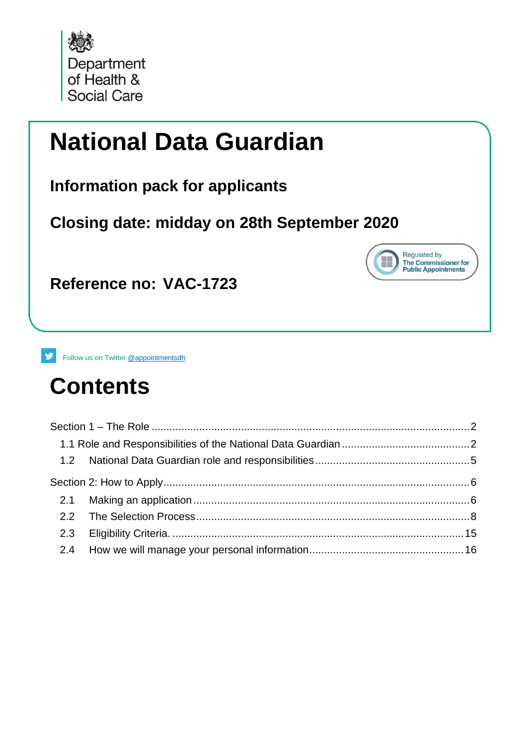

# **National Data Guardian**

**Information pack for applicants**

**Closing date: midday on 28th September 2020**



**Reference no: VAC-1723**

v. Follow us on Twitter [@appointmentsdh](https://twitter.com/search?q=%40appointmentsdh&src=typd)

# **Contents**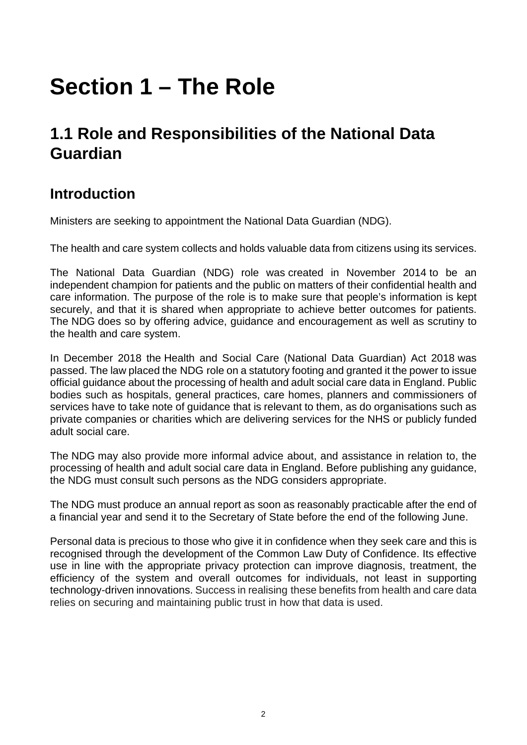# <span id="page-1-0"></span>**Section 1 – The Role**

### <span id="page-1-1"></span>**1.1 Role and Responsibilities of the National Data Guardian**

#### **Introduction**

Ministers are seeking to appointment the National Data Guardian (NDG).

The health and care system collects and holds valuable data from citizens using its services.

The National Data Guardian (NDG) role was created in November 2014 to be an independent champion for patients and the public on matters of their confidential health and care information. The purpose of the role is to make sure that people's information is kept securely, and that it is shared when appropriate to achieve better outcomes for patients. The NDG does so by offering advice, guidance and encouragement as well as scrutiny to the health and care system.

In December 2018 the Health and Social Care (National Data Guardian) Act 2018 was passed. The law placed the NDG role on a statutory footing and granted it the power to issue official guidance about the processing of health and adult social care data in England. Public bodies such as hospitals, general practices, care homes, planners and commissioners of services have to take note of guidance that is relevant to them, as do organisations such as private companies or charities which are delivering services for the NHS or publicly funded adult social care.

The NDG may also provide more informal advice about, and assistance in relation to, the processing of health and adult social care data in England. Before publishing any guidance, the NDG must consult such persons as the NDG considers appropriate.

The NDG must produce an annual report as soon as reasonably practicable after the end of a financial year and send it to the Secretary of State before the end of the following June.

Personal data is precious to those who give it in confidence when they seek care and this is recognised through the development of the Common Law Duty of Confidence. Its effective use in line with the appropriate privacy protection can improve diagnosis, treatment, the efficiency of the system and overall outcomes for individuals, not least in supporting technology-driven innovations. Success in realising these benefits from health and care data relies on securing and maintaining public trust in how that data is used.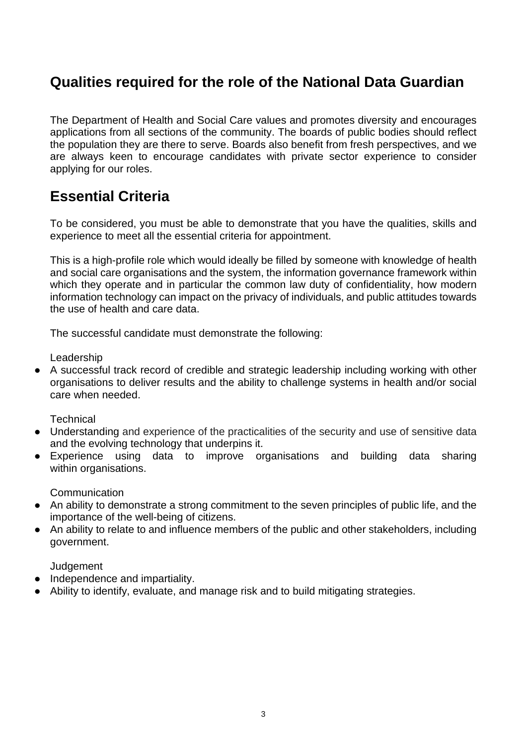#### **Qualities required for the role of the National Data Guardian**

The Department of Health and Social Care values and promotes diversity and encourages applications from all sections of the community. The boards of public bodies should reflect the population they are there to serve. Boards also benefit from fresh perspectives, and we are always keen to encourage candidates with private sector experience to consider applying for our roles.

#### **Essential Criteria**

To be considered, you must be able to demonstrate that you have the qualities, skills and experience to meet all the essential criteria for appointment.

This is a high-profile role which would ideally be filled by someone with knowledge of health and social care organisations and the system, the information governance framework within which they operate and in particular the common law duty of confidentiality, how modern information technology can impact on the privacy of individuals, and public attitudes towards the use of health and care data.

The successful candidate must demonstrate the following:

Leadership

● A successful track record of credible and strategic leadership including working with other organisations to deliver results and the ability to challenge systems in health and/or social care when needed.

**Technical** 

- Understanding and experience of the practicalities of the security and use of sensitive data and the evolving technology that underpins it.
- Experience using data to improve organisations and building data sharing within organisations.

**Communication** 

- An ability to demonstrate a strong commitment to the seven principles of public life, and the importance of the well-being of citizens.
- An ability to relate to and influence members of the public and other stakeholders, including government.

**Judgement** 

- Independence and impartiality.
- Ability to identify, evaluate, and manage risk and to build mitigating strategies.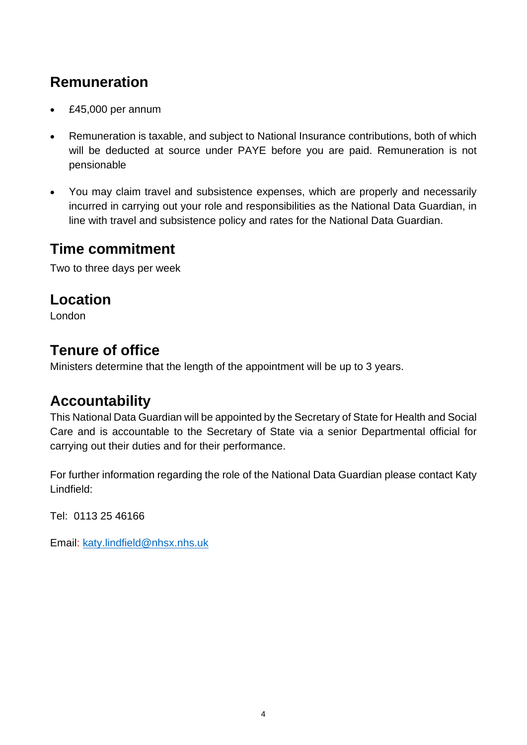### **Remuneration**

- £45,000 per annum
- Remuneration is taxable, and subject to National Insurance contributions, both of which will be deducted at source under PAYE before you are paid. Remuneration is not pensionable
- You may claim travel and subsistence expenses, which are properly and necessarily incurred in carrying out your role and responsibilities as the National Data Guardian, in line with travel and subsistence policy and rates for the National Data Guardian.

#### **Time commitment**

Two to three days per week

#### **Location**

London

#### **Tenure of office**

Ministers determine that the length of the appointment will be up to 3 years.

#### **Accountability**

This National Data Guardian will be appointed by the Secretary of State for Health and Social Care and is accountable to the Secretary of State via a senior Departmental official for carrying out their duties and for their performance.

For further information regarding the role of the National Data Guardian please contact Katy Lindfield:

Tel: 0113 25 46166

Email: [katy.lindfield@nhsx.nhs.uk](mailto:katy.lindfield@nhsx.nhs.uk)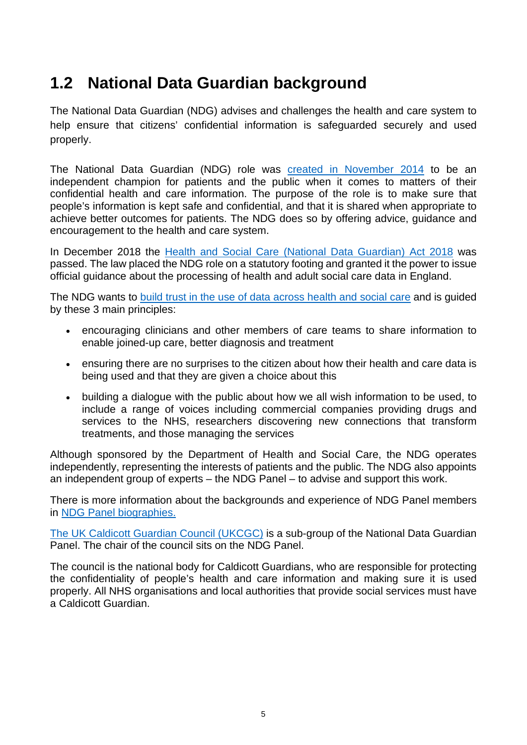## <span id="page-4-0"></span>**1.2 National Data Guardian background**

The National Data Guardian (NDG) advises and challenges the health and care system to help ensure that citizens' confidential information is safeguarded securely and used properly.

The National Data Guardian (NDG) role was [created in November 2014](https://www.gov.uk/government/news/national-data-guardian-appointed-to-safeguard-patients-healthcare-information) to be an independent champion for patients and the public when it comes to matters of their confidential health and care information. The purpose of the role is to make sure that people's information is kept safe and confidential, and that it is shared when appropriate to achieve better outcomes for patients. The NDG does so by offering advice, guidance and encouragement to the health and care system.

In December 2018 the [Health and Social Care \(National Data Guardian\) Act 2018](https://services.parliament.uk/Bills/2017-19/healthandsocialcarenationaldataguardian.html) was passed. The law placed the NDG role on a statutory footing and granted it the power to issue official guidance about the processing of health and adult social care data in England.

The NDG wants to [build trust in the use of data across health and social care](https://www.gov.uk/government/speeches/national-data-building-trust-across-health-and-social-care) and is guided by these 3 main principles:

- encouraging clinicians and other members of care teams to share information to enable joined-up care, better diagnosis and treatment
- ensuring there are no surprises to the citizen about how their health and care data is being used and that they are given a choice about this
- building a dialogue with the public about how we all wish information to be used, to include a range of voices including commercial companies providing drugs and services to the NHS, researchers discovering new connections that transform treatments, and those managing the services

Although sponsored by the Department of Health and Social Care, the NDG operates independently, representing the interests of patients and the public. The NDG also appoints an independent group of experts – the NDG Panel – to advise and support this work.

There is more information about the backgrounds and experience of NDG Panel members in [NDG Panel biographies.](https://assets.publishing.service.gov.uk/government/uploads/system/uploads/attachment_data/file/812068/874_-_NDG_Panel_biographies_v0.9_-_26.06.19.pdf) 

[The UK Caldicott Guardian Council \(UKCGC\)](https://www.gov.uk/government/groups/uk-caldicott-guardian-council) is a sub-group of the National Data Guardian Panel. The chair of the council sits on the NDG Panel.

The council is the national body for Caldicott Guardians, who are responsible for protecting the confidentiality of people's health and care information and making sure it is used properly. All NHS organisations and local authorities that provide social services must have a Caldicott Guardian.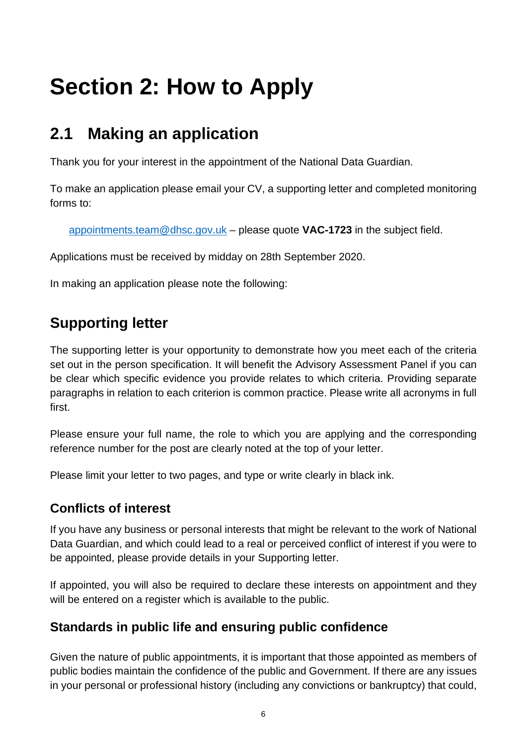# <span id="page-5-0"></span>**Section 2: How to Apply**

# <span id="page-5-1"></span>**2.1 Making an application**

Thank you for your interest in the appointment of the National Data Guardian.

To make an application please email your CV, a supporting letter and completed monitoring forms to:

[appointments.team@dhsc.gov.uk](mailto:appointments.team@dhsc.gov.uk) – please quote **VAC-1723** in the subject field.

Applications must be received by midday on 28th September 2020.

In making an application please note the following:

### **Supporting letter**

The supporting letter is your opportunity to demonstrate how you meet each of the criteria set out in the person specification. It will benefit the Advisory Assessment Panel if you can be clear which specific evidence you provide relates to which criteria. Providing separate paragraphs in relation to each criterion is common practice. Please write all acronyms in full first.

Please ensure your full name, the role to which you are applying and the corresponding reference number for the post are clearly noted at the top of your letter.

Please limit your letter to two pages, and type or write clearly in black ink.

#### **Conflicts of interest**

If you have any business or personal interests that might be relevant to the work of National Data Guardian, and which could lead to a real or perceived conflict of interest if you were to be appointed, please provide details in your Supporting letter.

If appointed, you will also be required to declare these interests on appointment and they will be entered on a register which is available to the public.

#### **Standards in public life and ensuring public confidence**

Given the nature of public appointments, it is important that those appointed as members of public bodies maintain the confidence of the public and Government. If there are any issues in your personal or professional history (including any convictions or bankruptcy) that could,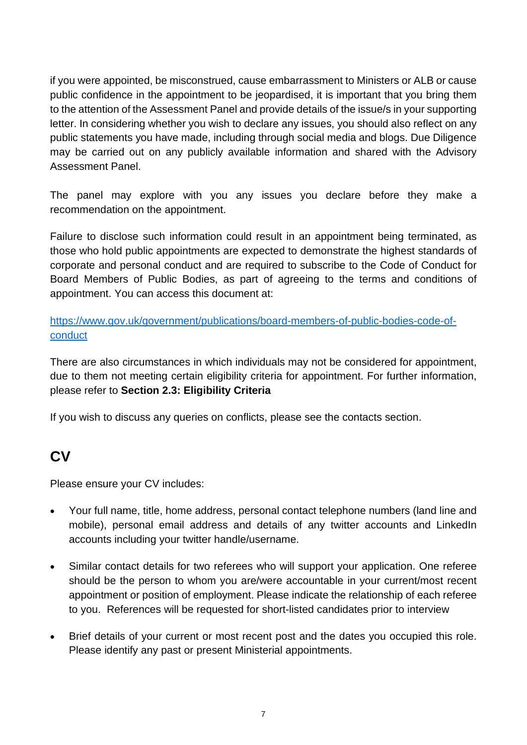if you were appointed, be misconstrued, cause embarrassment to Ministers or ALB or cause public confidence in the appointment to be jeopardised, it is important that you bring them to the attention of the Assessment Panel and provide details of the issue/s in your supporting letter. In considering whether you wish to declare any issues, you should also reflect on any public statements you have made, including through social media and blogs. Due Diligence may be carried out on any publicly available information and shared with the Advisory Assessment Panel.

The panel may explore with you any issues you declare before they make a recommendation on the appointment.

Failure to disclose such information could result in an appointment being terminated, as those who hold public appointments are expected to demonstrate the highest standards of corporate and personal conduct and are required to subscribe to the Code of Conduct for Board Members of Public Bodies, as part of agreeing to the terms and conditions of appointment. You can access this document at:

[https://www.gov.uk/government/publications/board-members-of-public-bodies-code-of](https://www.gov.uk/government/publications/board-members-of-public-bodies-code-of-conduct)[conduct](https://www.gov.uk/government/publications/board-members-of-public-bodies-code-of-conduct)

There are also circumstances in which individuals may not be considered for appointment, due to them not meeting certain eligibility criteria for appointment. For further information, please refer to **Section 2.3: Eligibility Criteria**

If you wish to discuss any queries on conflicts, please see the contacts section.

#### **CV**

Please ensure your CV includes:

- Your full name, title, home address, personal contact telephone numbers (land line and mobile), personal email address and details of any twitter accounts and LinkedIn accounts including your twitter handle/username.
- Similar contact details for two referees who will support your application. One referee should be the person to whom you are/were accountable in your current/most recent appointment or position of employment. Please indicate the relationship of each referee to you. References will be requested for short-listed candidates prior to interview
- Brief details of your current or most recent post and the dates you occupied this role. Please identify any past or present Ministerial appointments.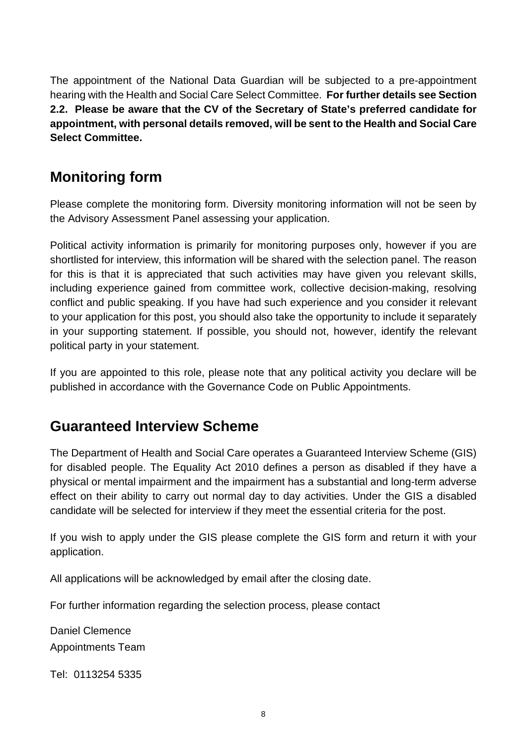The appointment of the National Data Guardian will be subjected to a pre-appointment hearing with the Health and Social Care Select Committee. **For further details see Section 2.2. Please be aware that the CV of the Secretary of State's preferred candidate for appointment, with personal details removed, will be sent to the Health and Social Care Select Committee.**

#### **Monitoring form**

Please complete the monitoring form. Diversity monitoring information will not be seen by the Advisory Assessment Panel assessing your application.

Political activity information is primarily for monitoring purposes only, however if you are shortlisted for interview, this information will be shared with the selection panel. The reason for this is that it is appreciated that such activities may have given you relevant skills, including experience gained from committee work, collective decision-making, resolving conflict and public speaking. If you have had such experience and you consider it relevant to your application for this post, you should also take the opportunity to include it separately in your supporting statement. If possible, you should not, however, identify the relevant political party in your statement.

If you are appointed to this role, please note that any political activity you declare will be published in accordance with the Governance Code on Public Appointments.

#### **Guaranteed Interview Scheme**

The Department of Health and Social Care operates a Guaranteed Interview Scheme (GIS) for disabled people. The Equality Act 2010 defines a person as disabled if they have a physical or mental impairment and the impairment has a substantial and long-term adverse effect on their ability to carry out normal day to day activities. Under the GIS a disabled candidate will be selected for interview if they meet the essential criteria for the post.

If you wish to apply under the GIS please complete the GIS form and return it with your application.

All applications will be acknowledged by email after the closing date.

For further information regarding the selection process, please contact

Daniel Clemence Appointments Team

Tel: 0113254 5335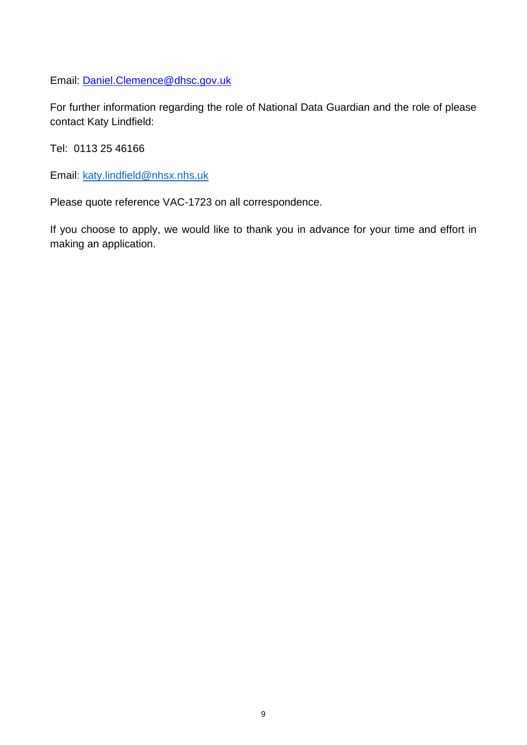Email: [Daniel.Clemence@dhsc.gov.uk](mailto:Daniel.Clemence@dhsc.gov.uk)

For further information regarding the role of National Data Guardian and the role of please contact Katy Lindfield:

Tel: 0113 25 46166

Email: [katy.lindfield@nhsx.nhs.uk](mailto:katy.lindfield@nhsx.nhs.uk)

Please quote reference VAC-1723 on all correspondence.

If you choose to apply, we would like to thank you in advance for your time and effort in making an application.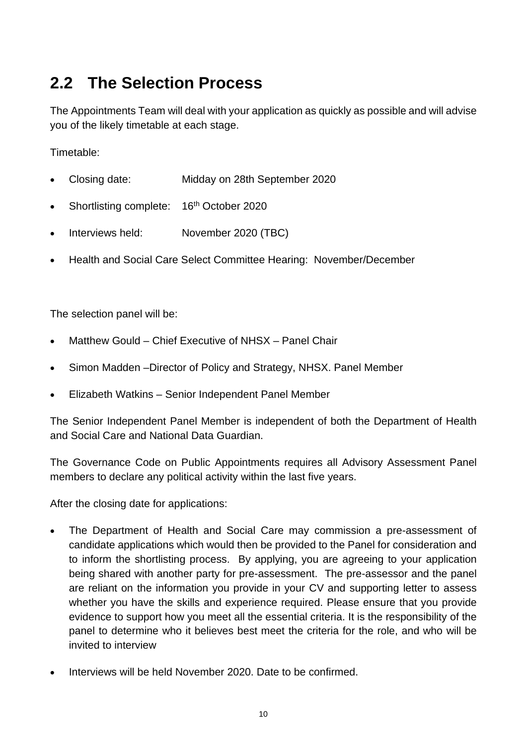# <span id="page-9-0"></span>**2.2 The Selection Process**

The Appointments Team will deal with your application as quickly as possible and will advise you of the likely timetable at each stage.

Timetable:

- Closing date: Midday on 28th September 2020
- Shortlisting complete:  $16<sup>th</sup>$  October 2020
- Interviews held: November 2020 (TBC)
- Health and Social Care Select Committee Hearing: November/December

The selection panel will be:

- Matthew Gould Chief Executive of NHSX Panel Chair
- Simon Madden –Director of Policy and Strategy, NHSX. Panel Member
- Elizabeth Watkins Senior Independent Panel Member

The Senior Independent Panel Member is independent of both the Department of Health and Social Care and National Data Guardian.

The Governance Code on Public Appointments requires all Advisory Assessment Panel members to declare any political activity within the last five years.

After the closing date for applications:

- The Department of Health and Social Care may commission a pre-assessment of candidate applications which would then be provided to the Panel for consideration and to inform the shortlisting process. By applying, you are agreeing to your application being shared with another party for pre-assessment. The pre-assessor and the panel are reliant on the information you provide in your CV and supporting letter to assess whether you have the skills and experience required. Please ensure that you provide evidence to support how you meet all the essential criteria. It is the responsibility of the panel to determine who it believes best meet the criteria for the role, and who will be invited to interview
- Interviews will be held November 2020. Date to be confirmed.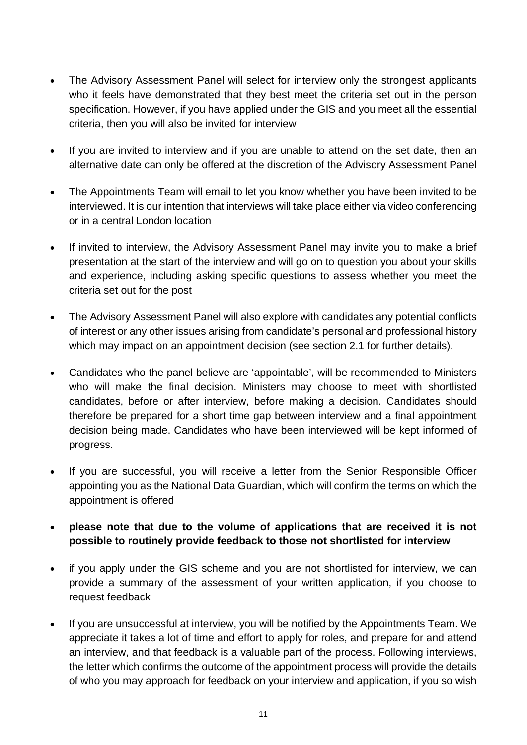- The Advisory Assessment Panel will select for interview only the strongest applicants who it feels have demonstrated that they best meet the criteria set out in the person specification. However, if you have applied under the GIS and you meet all the essential criteria, then you will also be invited for interview
- If you are invited to interview and if you are unable to attend on the set date, then an alternative date can only be offered at the discretion of the Advisory Assessment Panel
- The Appointments Team will email to let you know whether you have been invited to be interviewed. It is our intention that interviews will take place either via video conferencing or in a central London location
- If invited to interview, the Advisory Assessment Panel may invite you to make a brief presentation at the start of the interview and will go on to question you about your skills and experience, including asking specific questions to assess whether you meet the criteria set out for the post
- The Advisory Assessment Panel will also explore with candidates any potential conflicts of interest or any other issues arising from candidate's personal and professional history which may impact on an appointment decision (see section 2.1 for further details).
- Candidates who the panel believe are 'appointable', will be recommended to Ministers who will make the final decision. Ministers may choose to meet with shortlisted candidates, before or after interview, before making a decision. Candidates should therefore be prepared for a short time gap between interview and a final appointment decision being made. Candidates who have been interviewed will be kept informed of progress.
- If you are successful, you will receive a letter from the Senior Responsible Officer appointing you as the National Data Guardian, which will confirm the terms on which the appointment is offered
- **please note that due to the volume of applications that are received it is not possible to routinely provide feedback to those not shortlisted for interview**
- if you apply under the GIS scheme and you are not shortlisted for interview, we can provide a summary of the assessment of your written application, if you choose to request feedback
- If you are unsuccessful at interview, you will be notified by the Appointments Team. We appreciate it takes a lot of time and effort to apply for roles, and prepare for and attend an interview, and that feedback is a valuable part of the process. Following interviews, the letter which confirms the outcome of the appointment process will provide the details of who you may approach for feedback on your interview and application, if you so wish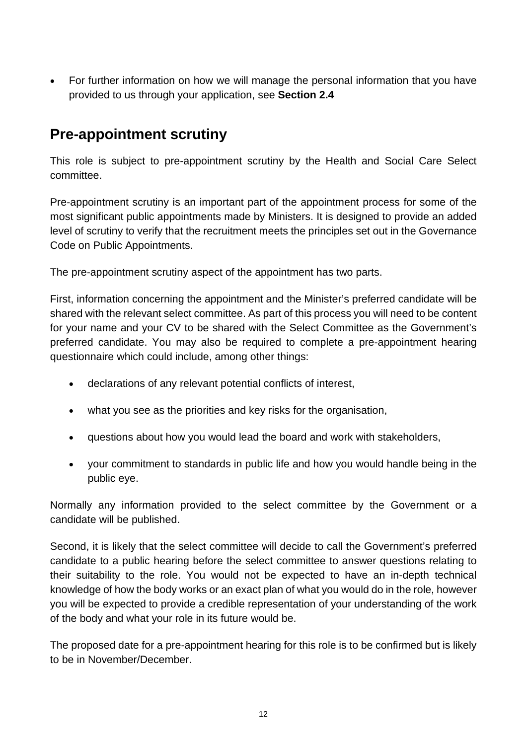• For further information on how we will manage the personal information that you have provided to us through your application, see **Section 2.4**

#### **Pre-appointment scrutiny**

This role is subject to pre-appointment scrutiny by the Health and Social Care Select committee.

Pre-appointment scrutiny is an important part of the appointment process for some of the most significant public appointments made by Ministers. It is designed to provide an added level of scrutiny to verify that the recruitment meets the principles set out in the Governance Code on Public Appointments.

The pre-appointment scrutiny aspect of the appointment has two parts.

First, information concerning the appointment and the Minister's preferred candidate will be shared with the relevant select committee. As part of this process you will need to be content for your name and your CV to be shared with the Select Committee as the Government's preferred candidate. You may also be required to complete a pre-appointment hearing questionnaire which could include, among other things:

- declarations of any relevant potential conflicts of interest,
- what you see as the priorities and key risks for the organisation,
- questions about how you would lead the board and work with stakeholders,
- your commitment to standards in public life and how you would handle being in the public eye.

Normally any information provided to the select committee by the Government or a candidate will be published.

Second, it is likely that the select committee will decide to call the Government's preferred candidate to a public hearing before the select committee to answer questions relating to their suitability to the role. You would not be expected to have an in-depth technical knowledge of how the body works or an exact plan of what you would do in the role, however you will be expected to provide a credible representation of your understanding of the work of the body and what your role in its future would be.

The proposed date for a pre-appointment hearing for this role is to be confirmed but is likely to be in November/December.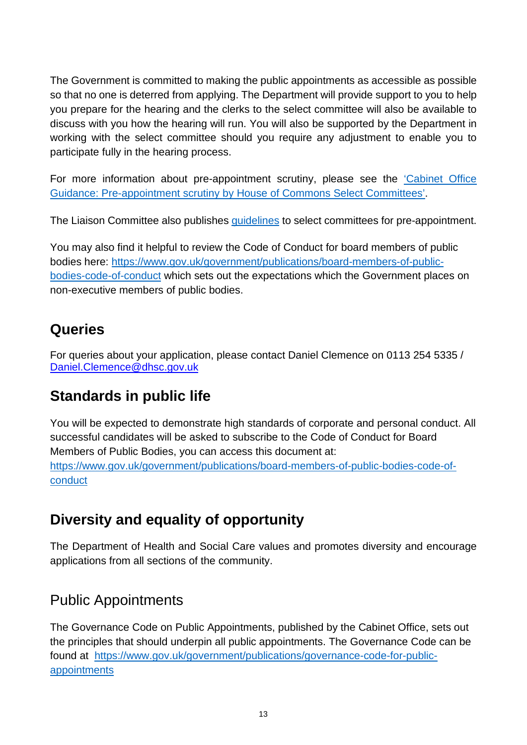The Government is committed to making the public appointments as accessible as possible so that no one is deterred from applying. The Department will provide support to you to help you prepare for the hearing and the clerks to the select committee will also be available to discuss with you how the hearing will run. You will also be supported by the Department in working with the select committee should you require any adjustment to enable you to participate fully in the hearing process.

For more information about pre-appointment scrutiny, please see the ['Cabinet Office](https://assets.publishing.service.gov.uk/government/uploads/system/uploads/attachment_data/file/771845/Cabinet-Office-Guidance-pre-appointment-scrutiny-of-public-appointments.pdf)  [Guidance: Pre-appointment scrutiny by House of Commons Select Committees'.](https://assets.publishing.service.gov.uk/government/uploads/system/uploads/attachment_data/file/771845/Cabinet-Office-Guidance-pre-appointment-scrutiny-of-public-appointments.pdf)

The Liaison Committee also publishes [guidelines](https://www.parliament.uk/business/committees/committees-a-z/commons-select/liaison-committee/role/pre-appointment-guidelines/) to select committees for pre-appointment.

You may also find it helpful to review the Code of Conduct for board members of public bodies here: [https://www.gov.uk/government/publications/board-members-of-public](https://www.gov.uk/government/publications/board-members-of-public-bodies-code-of-conduct)[bodies-code-of-conduct](https://www.gov.uk/government/publications/board-members-of-public-bodies-code-of-conduct) which sets out the expectations which the Government places on non-executive members of public bodies.

#### **Queries**

For queries about your application, please contact Daniel Clemence on 0113 254 5335 / [Daniel.Clemence@dhsc.gov.uk](mailto:Daniel.Clemence@dhsc.gov.uk)

#### **Standards in public life**

You will be expected to demonstrate high standards of corporate and personal conduct. All successful candidates will be asked to subscribe to the Code of Conduct for Board Members of Public Bodies, you can access this document at: [https://www.gov.uk/government/publications/board-members-of-public-bodies-code-of](https://www.gov.uk/government/publications/board-members-of-public-bodies-code-of-conduct)[conduct](https://www.gov.uk/government/publications/board-members-of-public-bodies-code-of-conduct)

#### **Diversity and equality of opportunity**

The Department of Health and Social Care values and promotes diversity and encourage applications from all sections of the community.

#### Public Appointments

The Governance Code on Public Appointments, published by the Cabinet Office, sets out the principles that should underpin all public appointments. The Governance Code can be found at [https://www.gov.uk/government/publications/governance-code-for-public](https://www.gov.uk/government/publications/governance-code-for-public-appointments)[appointments](https://www.gov.uk/government/publications/governance-code-for-public-appointments)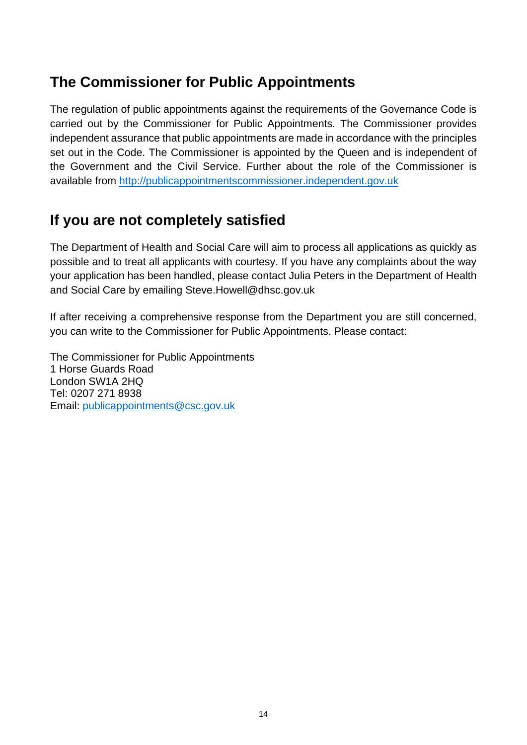#### **The Commissioner for Public Appointments**

The regulation of public appointments against the requirements of the Governance Code is carried out by the Commissioner for Public Appointments. The Commissioner provides independent assurance that public appointments are made in accordance with the principles set out in the Code. The Commissioner is appointed by the Queen and is independent of the Government and the Civil Service. Further about the role of the Commissioner is available from http://publicappointmentscommissioner.independent.gov.uk

#### **If you are not completely satisfied**

The Department of Health and Social Care will aim to process all applications as quickly as possible and to treat all applicants with courtesy. If you have any complaints about the way your application has been handled, please contact Julia Peters in the Department of Health and Social Care by emailing Steve.Howell@dhsc.gov.uk

If after receiving a comprehensive response from the Department you are still concerned, you can write to the Commissioner for Public Appointments. Please contact:

The Commissioner for Public Appointments 1 Horse Guards Road London SW1A 2HQ Tel: 0207 271 8938 Email: [publicappointments@csc.gov.uk](mailto:publicappointments@csc.gsi.gov.uk)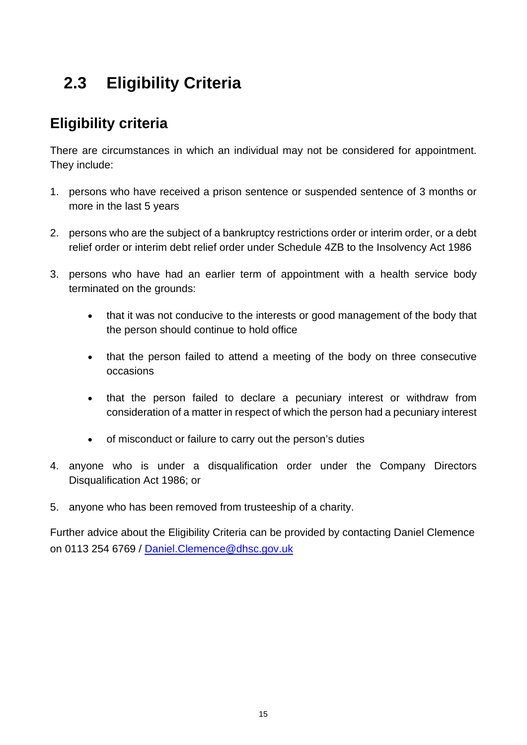# <span id="page-14-0"></span> **2.3 Eligibility Criteria**

#### **Eligibility criteria**

There are circumstances in which an individual may not be considered for appointment. They include:

- 1. persons who have received a prison sentence or suspended sentence of 3 months or more in the last 5 years
- 2. persons who are the subject of a bankruptcy restrictions order or interim order, or a debt relief order or interim debt relief order under Schedule 4ZB to the Insolvency Act 1986
- 3. persons who have had an earlier term of appointment with a health service body terminated on the grounds:
	- that it was not conducive to the interests or good management of the body that the person should continue to hold office
	- that the person failed to attend a meeting of the body on three consecutive occasions
	- that the person failed to declare a pecuniary interest or withdraw from consideration of a matter in respect of which the person had a pecuniary interest
	- of misconduct or failure to carry out the person's duties
- 4. anyone who is under a disqualification order under the Company Directors Disqualification Act 1986; or
- 5. anyone who has been removed from trusteeship of a charity.

<span id="page-14-1"></span>Further advice about the Eligibility Criteria can be provided by contacting Daniel Clemence on 0113 254 6769 / [Daniel.Clemence@dhsc.gov.uk](mailto:Daniel.Clemence@dhsc.gov.uk)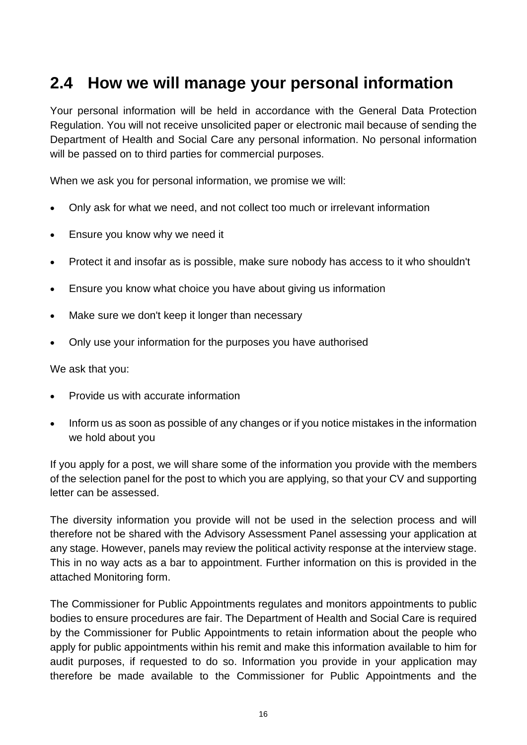### **2.4 How we will manage your personal information**

Your personal information will be held in accordance with the General Data Protection Regulation. You will not receive unsolicited paper or electronic mail because of sending the Department of Health and Social Care any personal information. No personal information will be passed on to third parties for commercial purposes.

When we ask you for personal information, we promise we will:

- Only ask for what we need, and not collect too much or irrelevant information
- Ensure you know why we need it
- Protect it and insofar as is possible, make sure nobody has access to it who shouldn't
- Ensure you know what choice you have about giving us information
- Make sure we don't keep it longer than necessary
- Only use your information for the purposes you have authorised

We ask that you:

- Provide us with accurate information
- Inform us as soon as possible of any changes or if you notice mistakes in the information we hold about you

If you apply for a post, we will share some of the information you provide with the members of the selection panel for the post to which you are applying, so that your CV and supporting letter can be assessed.

The diversity information you provide will not be used in the selection process and will therefore not be shared with the Advisory Assessment Panel assessing your application at any stage. However, panels may review the political activity response at the interview stage. This in no way acts as a bar to appointment. Further information on this is provided in the attached Monitoring form.

The Commissioner for Public Appointments regulates and monitors appointments to public bodies to ensure procedures are fair. The Department of Health and Social Care is required by the Commissioner for Public Appointments to retain information about the people who apply for public appointments within his remit and make this information available to him for audit purposes, if requested to do so. Information you provide in your application may therefore be made available to the Commissioner for Public Appointments and the